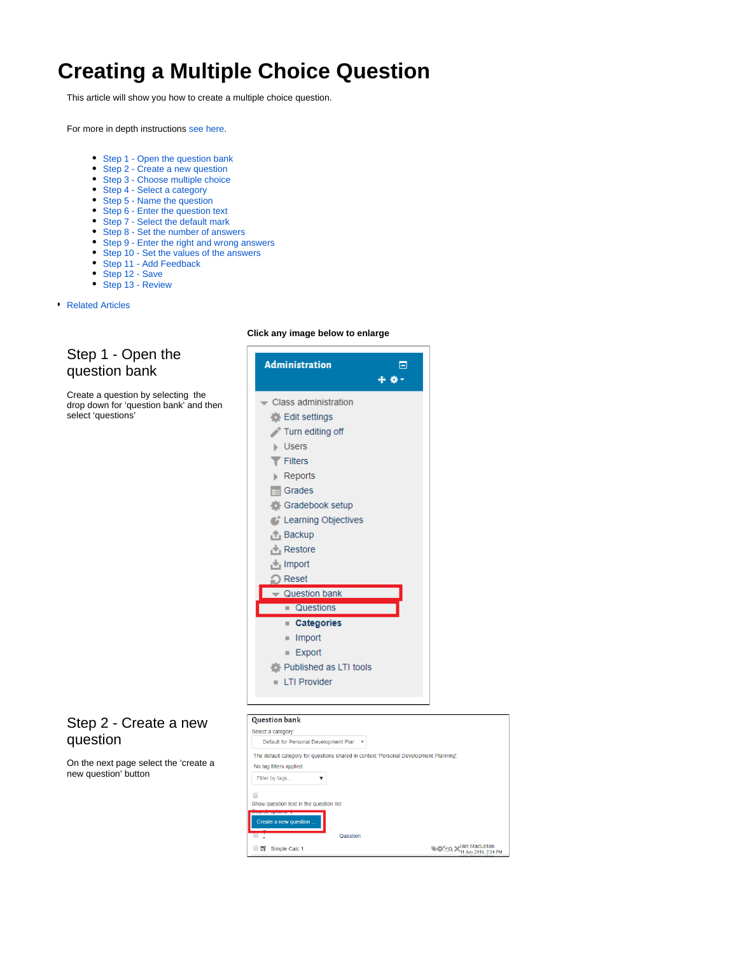# <span id="page-0-2"></span>**Creating a Multiple Choice Question**

This article will show you how to create a multiple choice question.

For more in depth instructions [see here](https://docs.moodle.org/34/en/Multiple_Choice_question_type).

- [Step 1 Open the question bank](#page-0-0)
- [Step 2 Create a new question](#page-0-1)
- [Step 3 Choose multiple choice](#page-1-0)
- [Step 4 Select a category](#page-1-1)
- [Step 5 Name the question](#page-1-2)
- [Step 6 Enter the question text](#page-1-3)
- [Step 7 Select the default mark](#page-1-4)
- [Step 8 Set the number of answers](#page-1-5)
- [Step 9 Enter the right and wrong answers](#page-1-6)
- [Step 10 Set the values of the answers](#page-2-0)
- [Step 11 Add Feedback](#page-2-1)
- [Step 12 Save](#page-2-2)
- [Step 13 Review](#page-2-3)
- [Related Articles](#page-2-4)

#### <span id="page-0-0"></span>Step 1 - Open the question bank

Create a question by selecting the drop down for 'question bank' and then select 'questions'

### <span id="page-0-1"></span>Step 2 - Create a new question

On the next page select the 'create a new question' button

#### **Click any image below to enlarge**



Select a category:

No tag filters applied Filter by tags.

■ 2 Simple Calc 1

Show question text in the question list Create a new question

 $\blacksquare$ 

Default for Personal Development Plan v

 $\overline{\mathbf{v}}$ 

The default category for questions shared in context 'Personal Development Planning'

Question

**WE A MacLellan**<br>
11 July 2019, 2:34 PM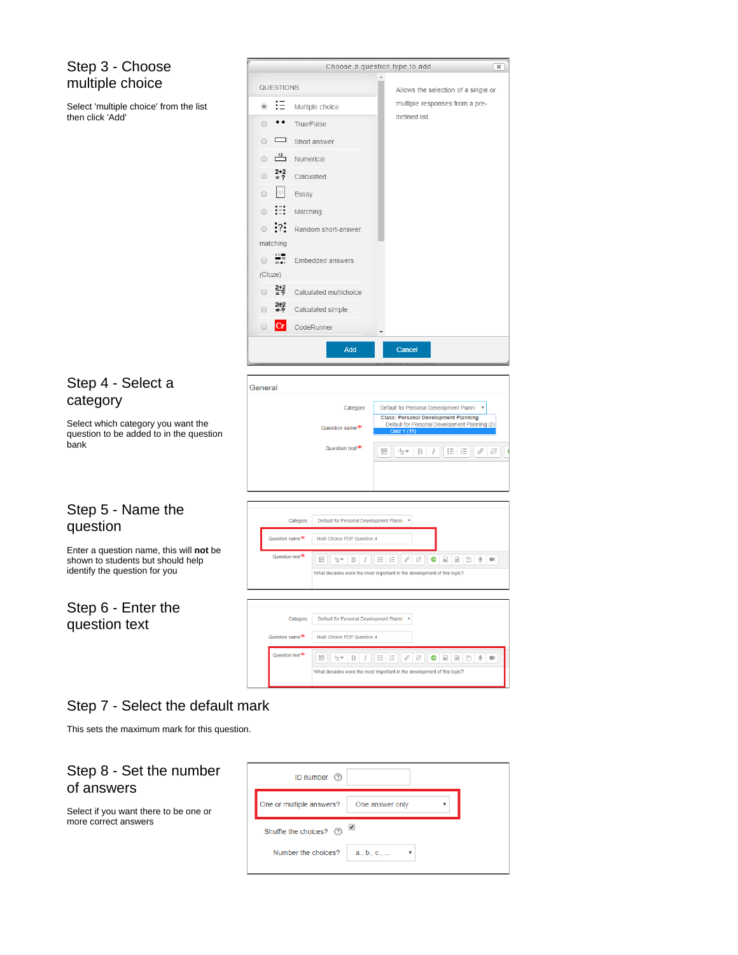#### <span id="page-1-0"></span>Step 3 - Choose multiple choice

Select 'multiple choice' from the list then click 'Add'

|                              | Choose a question type to add        |  |                                     | $\mathsf{x}$ |  |
|------------------------------|--------------------------------------|--|-------------------------------------|--------------|--|
| QUESTIONS                    |                                      |  | Allows the selection of a single or |              |  |
| - ∷⊟<br>$\circledcirc$       | Multiple choice                      |  | multiple responses from a pre-      |              |  |
|                              | True/False                           |  | defined list.                       |              |  |
| ᆷ                            | Short answer                         |  |                                     |              |  |
|                              | $\frac{12}{2}$ Numerical             |  |                                     |              |  |
| $\frac{2+2}{2}$<br>$\bigcap$ | Calculated                           |  |                                     |              |  |
| E                            | Essay                                |  |                                     |              |  |
| ∺<br>$\bigcirc$              | Matching                             |  |                                     |              |  |
|                              | • <sup>2</sup> : Random short-answer |  |                                     |              |  |
| matching                     |                                      |  |                                     |              |  |
| п.,                          | Embedded answers                     |  |                                     |              |  |
| (Cloze)                      |                                      |  |                                     |              |  |
| $\frac{2+2}{2}$              | Calculated multichoice               |  |                                     |              |  |
| $\frac{2+2}{2}$              | Calculated simple                    |  |                                     |              |  |
| $ {\rm Cr} $                 | CodeRunner                           |  |                                     |              |  |

#### <span id="page-1-1"></span>Step 4 - Select a category

Select which category you want the question to be added to in the question bank

#### <span id="page-1-2"></span>Step 5 - Name the questio

Enter a question name, this will **not** be shown to students but should help identify the

#### <span id="page-1-3"></span>Step 6 questio

| General  |                                         |                                                                               |
|----------|-----------------------------------------|-------------------------------------------------------------------------------|
|          |                                         |                                                                               |
|          | Category                                | Default for Personal Development Planni<br>$\boldsymbol{\mathrm{v}}$          |
|          |                                         | <b>Class: Personal Development Planning</b>                                   |
|          | Question name <sup>**</sup>             | Default for Personal Development Planning (2)                                 |
|          |                                         | Quiz 1 (11)                                                                   |
|          | Question text <sup>*</sup>              |                                                                               |
|          |                                         | 這<br>$0 -$<br>H<br>8<br>ें<br>$A_A \blacktriangleright$<br>B<br>$\frac{1}{2}$ |
|          |                                         |                                                                               |
|          |                                         |                                                                               |
|          |                                         |                                                                               |
|          |                                         |                                                                               |
|          |                                         |                                                                               |
|          |                                         |                                                                               |
|          |                                         |                                                                               |
| Category | Default for Personal Development Planni | ۰                                                                             |

| λn                                                                           | Calcyory                    | Delatit for Fersonal Development Fights                                                                                                 |
|------------------------------------------------------------------------------|-----------------------------|-----------------------------------------------------------------------------------------------------------------------------------------|
|                                                                              | Question name <sup>**</sup> | Multi Choice PDP Question 4                                                                                                             |
| estion name, this will not be<br>tudents but should help<br>question for you | Question text <sup>*</sup>  | 這<br>. 8<br>恣<br>₩<br>狂<br>e<br>$\overline{\mathbb{R}}$<br>$\mathbb Q$<br>m<br>B<br>$A_4 =$<br>$\mathbb{A}^*$<br>$\blacksquare$         |
|                                                                              |                             | What decades were the most important in the development of this topic?                                                                  |
|                                                                              |                             |                                                                                                                                         |
| - Enter the<br>n text                                                        | Category                    | Default for Personal Development Planni v                                                                                               |
|                                                                              | Question name <sup>**</sup> | Multi Choice PDP Question 4                                                                                                             |
|                                                                              | Question text <sup>**</sup> | 這<br>$rac{1}{2}$<br>這<br>. 8<br>恣<br>$\overline{\mathbb{R}}$<br>e<br>û<br>1 ⊕ .<br>B<br>$\mathbb{A}^*$<br>$A_{\rm A}$<br>$\blacksquare$ |
|                                                                              |                             | What decades were the most important in the development of this topic?                                                                  |

### <span id="page-1-4"></span>Step 7 - Select the default mark

This sets the maximum mark for this question.

#### <span id="page-1-5"></span>Step 8 - Set the number of answers

<span id="page-1-6"></span>Select if you want there to be one or more correct answers

| ID number (?)            |                         |  |
|--------------------------|-------------------------|--|
| One or multiple answers? | One answer only         |  |
| Shuffle the choices? 2   |                         |  |
| Number the choices?      | $a_{1}, b_{1}, c_{2}, $ |  |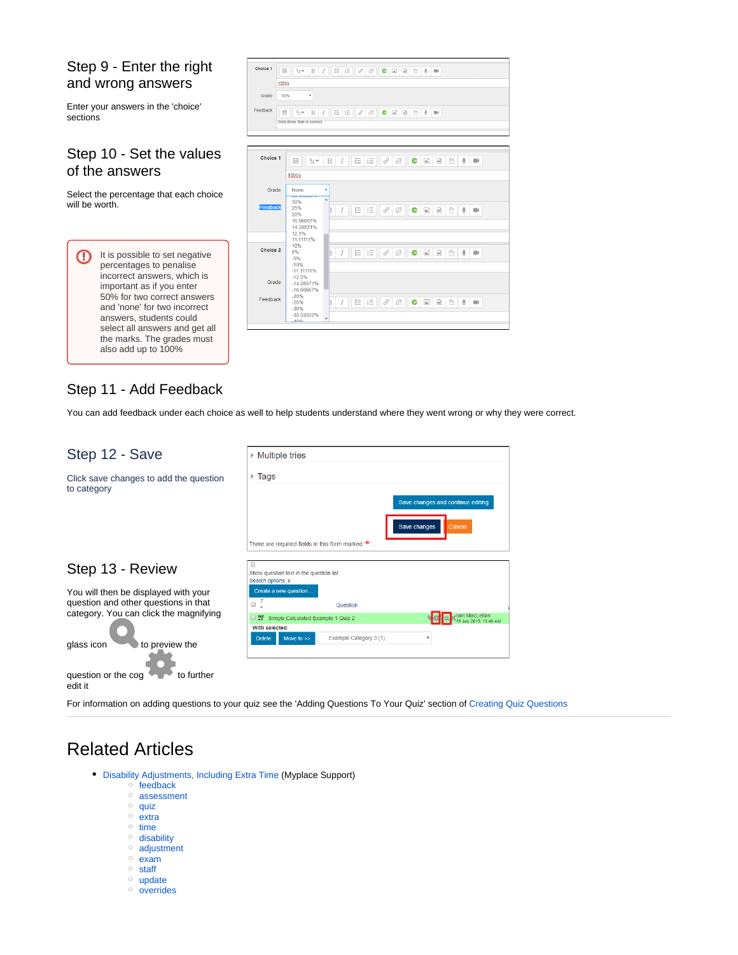#### Step 9 - Enter the right and wrong answers

Enter your answers in the 'choice' sections

#### <span id="page-2-0"></span>Step 10 - Set the values of the answers

Select the percentage that each choice will be worth.





#### <span id="page-2-1"></span>Step 11 - Add Feedback

You can add feedback under each choice as well to help students understand where they went wrong or why they were correct.

<span id="page-2-3"></span><span id="page-2-2"></span>

| Step 12 - Save                                                               | <b>Multiple tries</b>                                                                                                                     |  |  |  |
|------------------------------------------------------------------------------|-------------------------------------------------------------------------------------------------------------------------------------------|--|--|--|
| Click save changes to add the question<br>to category                        | Tags<br>ь                                                                                                                                 |  |  |  |
|                                                                              | Save changes and continue editing<br>Save changes<br>Cancel<br>There are required fields in this form marked $*$                          |  |  |  |
| Step 13 - Review                                                             | Show question text in the question list<br>Search options                                                                                 |  |  |  |
| You will then be displayed with your<br>question and other questions in that | Create a new question<br>Ţ<br>∩<br>Question                                                                                               |  |  |  |
| category. You can click the magnifying<br>to preview the                     | lain MacLellan<br>Simple Calculated Example 1 Quiz 2<br>25.2<br>With selected:<br>Example Category 3 (1)<br>Move to $>>$<br><b>Delete</b> |  |  |  |
| glass icon<br>to further<br>question or the cog<br>edit it                   |                                                                                                                                           |  |  |  |

For information on adding questions to your quiz see the 'Adding Questions To Your Quiz' section of [Creating Quiz Questions](https://wiki.lte.strath.ac.uk/display/MS/Creating+Quiz+Questions)

## <span id="page-2-4"></span>Related Articles

- [Disability Adjustments, Including Extra Time](https://wiki.lte.strath.ac.uk/display/MS/Disability+Adjustments%2C+Including+Extra+Time) (Myplace Support)
	- $\circ$  [feedback](https://wiki.lte.strath.ac.uk/label/feedback)
	- [assessment](https://wiki.lte.strath.ac.uk/label/assessment)
	- $\circ$  [quiz](https://wiki.lte.strath.ac.uk/label/quiz)
	- $\circ$  [extra](https://wiki.lte.strath.ac.uk/label/extra)
	- $\circ$  [time](https://wiki.lte.strath.ac.uk/label/time) <sup>o</sup> [disability](https://wiki.lte.strath.ac.uk/label/disability)
	- [adjustment](https://wiki.lte.strath.ac.uk/label/adjustment)
	- <sup>o</sup> [exam](https://wiki.lte.strath.ac.uk/label/exam)
	- <sup>o</sup> [staff](https://wiki.lte.strath.ac.uk/label/staff)
	- <sup>o</sup> [update](https://wiki.lte.strath.ac.uk/label/update)
	-
	- o [overrides](https://wiki.lte.strath.ac.uk/label/overrides)